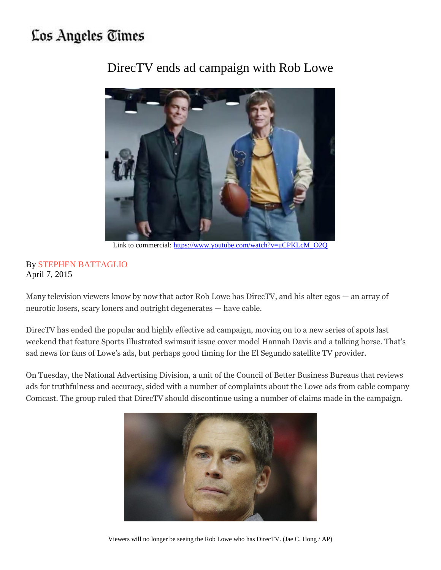## Los Angeles Times



DirecTV ends ad campaign with Rob Lowe

Link to commercial: [https://www.youtube.com/watch?v=uCPKLcM\\_O2Q](https://www.youtube.com/watch?v=uCPKLcM_O2Q)

## By [STEPHEN BATTAGLIO](http://www.latimes.com/la-bio-stephen-battaglio-staff.html) April 7, 2015

Many television viewers know by now that actor Rob Lowe has DirecTV, and his alter egos — an array of neurotic losers, scary loners and outright degenerates — have cable.

DirecTV has ended the popular and highly effective ad campaign, moving on to a new series of spots last weekend that feature Sports Illustrated swimsuit issue cover model Hannah Davis and a talking horse. That's sad news for fans of Lowe's ads, but perhaps good timing for the El Segundo satellite TV provider.

On Tuesday, the National Advertising Division, a unit of the Council of Better Business Bureaus that reviews ads for truthfulness and accuracy, sided with a number of complaints about the Lowe ads from cable company Comcast. The group ruled that DirecTV should discontinue using a number of claims made in the campaign.



Viewers will no longer be seeing the Rob Lowe who has DirecTV. (Jae C. Hong / AP)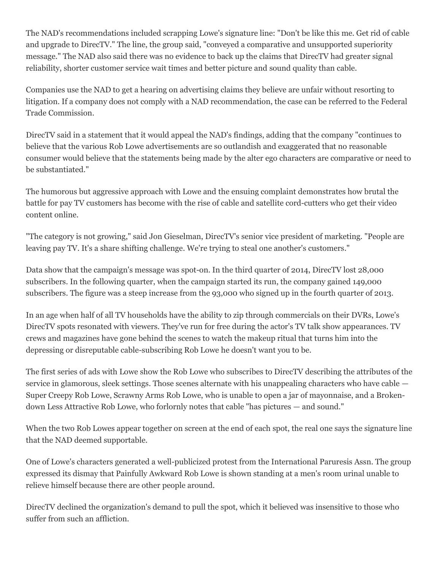The NAD's recommendations included scrapping Lowe's signature line: "Don't be like this me. Get rid of cable and upgrade to DirecTV." The line, the group said, "conveyed a comparative and unsupported superiority message." The NAD also said there was no evidence to back up the claims that DirecTV had greater signal reliability, shorter customer service wait times and better picture and sound quality than cable.

Companies use the NAD to get a hearing on advertising claims they believe are unfair without resorting to litigation. If a company does not comply with a NAD recommendation, the case can be referred to the Federal Trade Commission.

DirecTV said in a statement that it would appeal the NAD's findings, adding that the company "continues to believe that the various Rob Lowe advertisements are so outlandish and exaggerated that no reasonable consumer would believe that the statements being made by the alter ego characters are comparative or need to be substantiated."

The humorous but aggressive approach with Lowe and the ensuing complaint demonstrates how brutal the battle for pay TV customers has become with the rise of cable and satellite cord-cutters who get their video content online.

"The category is not growing," said Jon Gieselman, DirecTV's senior vice president of marketing. "People are leaving pay TV. It's a share shifting challenge. We're trying to steal one another's customers."

Data show that the campaign's message was spot-on. In the third quarter of 2014, DirecTV lost 28,000 subscribers. In the following quarter, when the campaign started its run, the company gained 149,000 subscribers. The figure was a steep increase from the 93,000 who signed up in the fourth quarter of 2013.

In an age when half of all TV households have the ability to zip through commercials on their DVRs, Lowe's DirecTV spots resonated with viewers. They've run for free during the actor's TV talk show appearances. TV crews and magazines have gone behind the scenes to watch the makeup ritual that turns him into the depressing or disreputable cable-subscribing Rob Lowe he doesn't want you to be.

The first series of ads with Lowe show the Rob Lowe who subscribes to DirecTV describing the attributes of the service in glamorous, sleek settings. Those scenes alternate with his unappealing characters who have cable — Super Creepy Rob Lowe, Scrawny Arms Rob Lowe, who is unable to open a jar of mayonnaise, and a Brokendown Less Attractive Rob Lowe, who forlornly notes that cable "has pictures — and sound."

When the two Rob Lowes appear together on screen at the end of each spot, the real one says the signature line that the NAD deemed supportable.

One of Lowe's characters generated a well-publicized protest from the International Paruresis Assn. The group expressed its dismay that Painfully Awkward Rob Lowe is shown standing at a men's room urinal unable to relieve himself because there are other people around.

DirecTV declined the organization's demand to pull the spot, which it believed was insensitive to those who suffer from such an affliction.